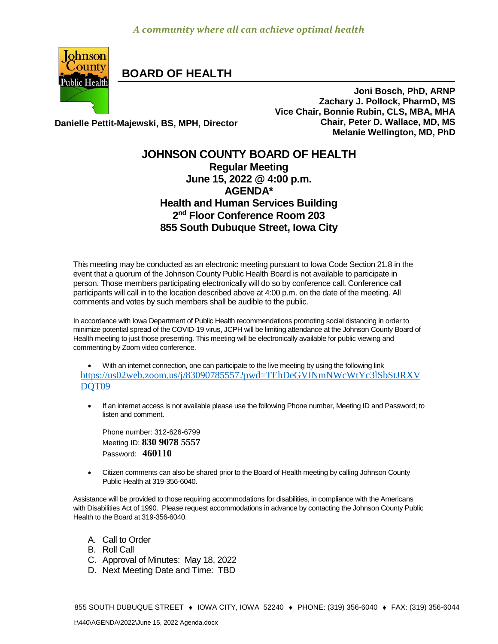

**BOARD OF HEALTH**

**Joni Bosch, PhD, ARNP Zachary J. Pollock, PharmD, MS Vice Chair, Bonnie Rubin, CLS, MBA, MHA Chair, Peter D. Wallace, MD, MS Melanie Wellington, MD, PhD**

**Danielle Pettit-Majewski, BS, MPH, Director**

## **JOHNSON COUNTY BOARD OF HEALTH Regular Meeting June 15, 2022 @ 4:00 p.m. AGENDA\* Health and Human Services Building 2 nd Floor Conference Room 203 855 South Dubuque Street, Iowa City**

This meeting may be conducted as an electronic meeting pursuant to Iowa Code Section 21.8 in the event that a quorum of the Johnson County Public Health Board is not available to participate in person. Those members participating electronically will do so by conference call. Conference call participants will call in to the location described above at 4:00 p.m. on the date of the meeting. All comments and votes by such members shall be audible to the public.

In accordance with Iowa Department of Public Health recommendations promoting social distancing in order to minimize potential spread of the COVID-19 virus, JCPH will be limiting attendance at the Johnson County Board of Health meeting to just those presenting. This meeting will be electronically available for public viewing and commenting by Zoom video conference.

 With an internet connection, one can participate to the live meeting by using the following link [https://us02web.zoom.us/j/83090785557?pwd=TEhDeGVINmNWcWtYc3lSbStJRXV](https://us02web.zoom.us/j/83090785557?pwd=TEhDeGVINmNWcWtYc3lSbStJRXVDQT09) DOT<sub>09</sub>

 If an internet access is not available please use the following Phone number, Meeting ID and Password; to listen and comment.

Phone number: 312-626-6799 Meeting ID: **830 9078 5557** Password: **460110**

 [Citizen](http://citizen/) comments can also be shared prior to the Board of Health meeting by calling Johnson County Public Health at 319-356-6040.

Assistance will be provided to those requiring accommodations for disabilities, in compliance with the Americans with Disabilities Act of 1990. Please request accommodations in advance by contacting the Johnson County Public Health to the Board at 319-356-6040.

- A. Call to Order
- B. Roll Call
- C. Approval of Minutes: May 18, 2022
- D. Next Meeting Date and Time: TBD

855 SOUTH DUBUQUE STREET ♦ IOWA CITY, IOWA 52240 ♦ PHONE: (319) 356-6040 ♦ FAX: (319) 356-6044